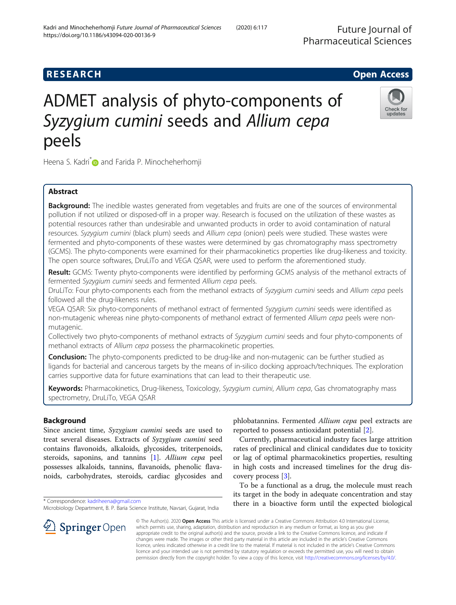# **RESEARCH CHILD CONTROL** CONTROL CONTROL CONTROL CONTROL CONTROL CONTROL CONTROL CONTROL CONTROL CONTROL CONTROL CONTROL CONTROL CONTROL CONTROL CONTROL CONTROL CONTROL CONTROL CONTROL CONTROL CONTROL CONTROL CONTROL CONTR ADMET analysis of phyto-components of Syzygium cumini seeds and Allium cepa

Heena S. Kadri<sup>\*</sup> and Farida P. Minocheherhomji

# Abstract

peels

**Background:** The inedible wastes generated from vegetables and fruits are one of the sources of environmental pollution if not utilized or disposed-off in a proper way. Research is focused on the utilization of these wastes as potential resources rather than undesirable and unwanted products in order to avoid contamination of natural resources. Syzygium cumini (black plum) seeds and Allium cepa (onion) peels were studied. These wastes were fermented and phyto-components of these wastes were determined by gas chromatography mass spectrometry (GCMS). The phyto-components were examined for their pharmacokinetics properties like drug-likeness and toxicity. The open source softwares, DruLiTo and VEGA QSAR, were used to perform the aforementioned study.

Result: GCMS: Twenty phyto-components were identified by performing GCMS analysis of the methanol extracts of fermented Syzygium cumini seeds and fermented Allium cepa peels.

DruLiTo: Four phyto-components each from the methanol extracts of Syzygium cumini seeds and Allium cepa peels followed all the drug-likeness rules.

VEGA QSAR: Six phyto-components of methanol extract of fermented Syzygium cumini seeds were identified as non-mutagenic whereas nine phyto-components of methanol extract of fermented Allium cepa peels were nonmutagenic.

Collectively two phyto-components of methanol extracts of Syzygium cumini seeds and four phyto-components of methanol extracts of Allium cepa possess the pharmacokinetic properties.

**Conclusion:** The phyto-components predicted to be drug-like and non-mutagenic can be further studied as ligands for bacterial and cancerous targets by the means of in-silico docking approach/techniques. The exploration carries supportive data for future examinations that can lead to their therapeutic use.

Keywords: Pharmacokinetics, Drug-likeness, Toxicology, Syzygium cumini, Allium cepa, Gas chromatography mass spectrometry, DruLiTo, VEGA QSAR

# Background

Since ancient time, Syzygium cumini seeds are used to treat several diseases. Extracts of Syzygium cumini seed contains flavonoids, alkaloids, glycosides, triterpenoids, steroids, saponins, and tannins [[1\]](#page-7-0). Allium cepa peel possesses alkaloids, tannins, flavanoids, phenolic flavanoids, carbohydrates, steroids, cardiac glycosides and

\* Correspondence: [kadriheena@gmail.com](mailto:kadriheena@gmail.com)

phlobatannins. Fermented Allium cepa peel extracts are reported to possess antioxidant potential [[2\]](#page-7-0).

Currently, pharmaceutical industry faces large attrition rates of preclinical and clinical candidates due to toxicity or lag of optimal pharmacokinetics properties, resulting in high costs and increased timelines for the drug discovery process [[3\]](#page-7-0).

To be a functional as a drug, the molecule must reach its target in the body in adequate concentration and stay there in a bioactive form until the expected biological

© The Author(s). 2020 Open Access This article is licensed under a Creative Commons Attribution 4.0 International License, which permits use, sharing, adaptation, distribution and reproduction in any medium or format, as long as you give appropriate credit to the original author(s) and the source, provide a link to the Creative Commons licence, and indicate if changes were made. The images or other third party material in this article are included in the article's Creative Commons licence, unless indicated otherwise in a credit line to the material. If material is not included in the article's Creative Commons licence and your intended use is not permitted by statutory regulation or exceeds the permitted use, you will need to obtain permission directly from the copyright holder. To view a copy of this licence, visit <http://creativecommons.org/licenses/by/4.0/>.







Microbiology Department, B. P. Baria Science Institute, Navsari, Gujarat, India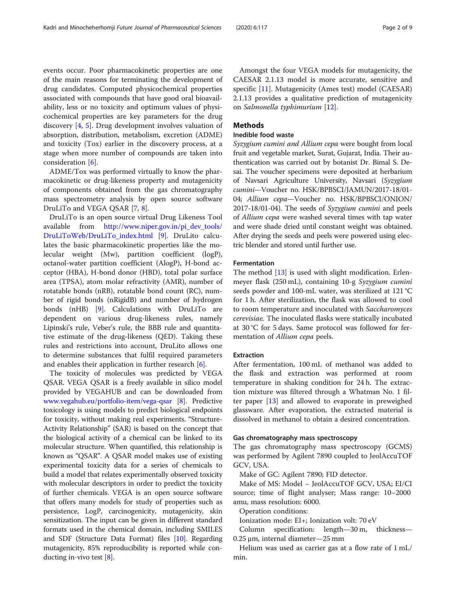events occur. Poor pharmacokinetic properties are one of the main reasons for terminating the development of drug candidates. Computed physicochemical properties associated with compounds that have good oral bioavailability, less or no toxicity and optimum values of physicochemical properties are key parameters for the drug discovery [\[4](#page-7-0), [5\]](#page-7-0). Drug development involves valuation of absorption, distribution, metabolism, excretion (ADME) and toxicity (Tox) earlier in the discovery process, at a stage when more number of compounds are taken into consideration [\[6\]](#page-7-0).

ADME/Tox was performed virtually to know the pharmacokinetic or drug-likeness property and mutagenicity of components obtained from the gas chromatography mass spectrometry analysis by open source software DruLiTo and VEGA QSAR [[7,](#page-7-0) [8\]](#page-8-0).

DruLiTo is an open source virtual Drug Likeness Tool available from [http://www.niper.gov.in/pi\\_dev\\_tools/](http://www.niper.gov.in/pi_dev_tools/DruLiToWeb/DruLiTo_index.html) [DruLiToWeb/DruLiTo\\_index.html](http://www.niper.gov.in/pi_dev_tools/DruLiToWeb/DruLiTo_index.html) [[9\]](#page-8-0). DruLito calculates the basic pharmacokinetic properties like the molecular weight (Mw), partition coefficient (logP), octanol-water partition coefficient (AlogP), H-bond acceptor (HBA), H-bond donor (HBD), total polar surface area (TPSA), atom molar refractivity (AMR), number of rotatable bonds (nRB), rotatable bond count (RC), number of rigid bonds (nRigidB) and number of hydrogen bonds (nHB) [[9\]](#page-8-0). Calculations with DruLiTo are dependent on various drug-likeness rules, namely Lipinski's rule, Veber's rule, the BBB rule and quantitative estimate of the drug-likeness (QED). Taking these rules and restrictions into account, DruLito allows one to determine substances that fulfil required parameters and enables their application in further research [\[6](#page-7-0)].

The toxicity of molecules was predicted by VEGA QSAR. VEGA QSAR is a freely available in silico model provided by VEGAHUB and can be downloaded from [www.vegahub.eu/portfolio-item/vega-qsar](http://www.vegahub.eu/portfolio-item/vega-qsar) [\[8](#page-8-0)]. Predictive toxicology is using models to predict biological endpoints for toxicity, without making real experiments. "Structure-Activity Relationship" (SAR) is based on the concept that the biological activity of a chemical can be linked to its molecular structure. When quantified, this relationship is known as "QSAR". A QSAR model makes use of existing experimental toxicity data for a series of chemicals to build a model that relates experimentally observed toxicity with molecular descriptors in order to predict the toxicity of further chemicals. VEGA is an open source software that offers many models for study of properties such as persistence, LogP, carcinogenicity, mutagenicity, skin sensitization. The input can be given in different standard formats used in the chemical domain, including SMILES and SDF (Structure Data Format) files [\[10\]](#page-8-0). Regarding mutagenicity, 85% reproducibility is reported while conducting in-vivo test [[8](#page-8-0)].

Amongst the four VEGA models for mutagenicity, the CAESAR 2.1.13 model is more accurate, sensitive and specific [\[11\]](#page-8-0). Mutagenicity (Ames test) model (CAESAR) 2.1.13 provides a qualitative prediction of mutagenicity on Salmonella typhimurium [[12](#page-8-0)].

# **Methods**

# Inedible food waste

Syzygium cumini and Allium cepa were bought from local fruit and vegetable market, Surat, Gujarat, India. Their authentication was carried out by botanist Dr. Bimal S. Desai. The voucher specimens were deposited at herbarium of Navsari Agriculture University, Navsari (Syzygium cumini—Voucher no. HSK/BPBSCI/JAMUN/2017-18/01- 04; Allium cepa—Voucher no. HSK/BPBSCI/ONION/ 2017-18/01-04). The seeds of Syzygium cumini and peels of Allium cepa were washed several times with tap water and were shade dried until constant weight was obtained. After drying the seeds and peels were powered using electric blender and stored until further use.

#### Fermentation

The method [\[13\]](#page-8-0) is used with slight modification. Erlenmeyer flask (250 mL), containing 10-g Syzygium cumini seeds powder and 100-mL water, was sterilized at 121 °C for 1 h. After sterilization, the flask was allowed to cool to room temperature and inoculated with Saccharomyces cerevisiae. The inoculated flasks were statically incubated at 30 °C for 5 days. Same protocol was followed for fermentation of Allium cepa peels.

#### Extraction

After fermentation, 100 mL of methanol was added to the flask and extraction was performed at room temperature in shaking condition for 24 h. The extraction mixture was filtered through a Whatman No. 1 filter paper [[13\]](#page-8-0) and allowed to evaporate in preweighed glassware. After evaporation, the extracted material is dissolved in methanol to obtain a desired concentration.

# Gas chromatography mass spectroscopy

The gas chromatography mass spectroscopy (GCMS) was performed by Agilent 7890 coupled to JeolAccuTOF GCV, USA.

Make of GC: Agilent 7890; FID detector.

Make of MS: Model – JeolAccuTOF GCV, USA; EI/CI source; time of flight analyser; Mass range: 10–2000 amu, mass resolution: 6000.

Operation conditions:

Ionization mode: EI+; Ionization volt: 70 eV

Column specification: length—30 m, thickness— 0.25 μm, internal diameter—25 mm

Helium was used as carrier gas at a flow rate of 1 mL/ min.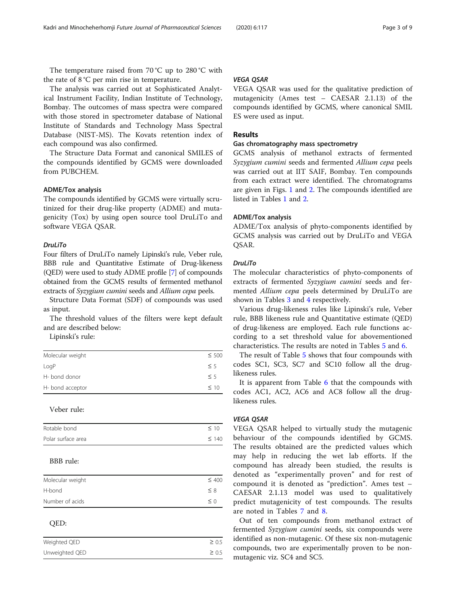The temperature raised from 70 °C up to 280 °C with the rate of 8 °C per min rise in temperature.

The analysis was carried out at Sophisticated Analytical Instrument Facility, Indian Institute of Technology, Bombay. The outcomes of mass spectra were compared with those stored in spectrometer database of National Institute of Standards and Technology Mass Spectral Database (NIST-MS). The Kovats retention index of each compound was also confirmed.

The Structure Data Format and canonical SMILES of the compounds identified by GCMS were downloaded from PUBCHEM.

#### ADME/Tox analysis

The compounds identified by GCMS were virtually scrutinized for their drug-like property (ADME) and mutagenicity (Tox) by using open source tool DruLiTo and software VEGA QSAR.

#### $Drull$  iTo

Four filters of DruLiTo namely Lipinski's rule, Veber rule, BBB rule and Quantitative Estimate of Drug-likeness (QED) were used to study ADME profile [\[7](#page-7-0)] of compounds obtained from the GCMS results of fermented methanol extracts of Syzygium cumini seeds and Allium cepa peels.

Structure Data Format (SDF) of compounds was used as input.

The threshold values of the filters were kept default and are described below:

Lipinski's rule:

| Molecular weight | $\leq 500$ |
|------------------|------------|
| LogP             | $\leq$ 5   |
| H- bond donor    | $\leq$ 5   |
| H- bond acceptor | $\leq 10$  |
|                  |            |

# Veber rule:

| Rotable bond       | $\leq$ 10  |
|--------------------|------------|
| Polar surface area | $\leq$ 140 |

# BBB rule:

| Molecular weight | $\leq 400$ |
|------------------|------------|
| H-bond           | $\leq 8$   |
| Number of acids  | $\leq$ 0   |

# QED:

| Weighted QED   | $\geq 0.5$ |
|----------------|------------|
| Unweighted QED | $\geq 0.5$ |

VEGA QSAR VEGA QSAR was used for the qualitative prediction of mutagenicity (Ames test – CAESAR 2.1.13) of the compounds identified by GCMS, where canonical SMIL ES were used as input.

## Results

### Gas chromatography mass spectrometry

GCMS analysis of methanol extracts of fermented Syzygium cumini seeds and fermented Allium cepa peels was carried out at IIT SAIF, Bombay. Ten compounds from each extract were identified. The chromatograms are given in Figs. [1](#page-3-0) and [2.](#page-4-0) The compounds identified are listed in Tables [1](#page-4-0) and [2.](#page-5-0)

#### ADME/Tox analysis

ADME/Tox analysis of phyto-components identified by GCMS analysis was carried out by DruLiTo and VEGA QSAR.

#### Drul iTo

The molecular characteristics of phyto-components of extracts of fermented Syzygium cumini seeds and fermented Allium cepa peels determined by DruLiTo are shown in Tables [3](#page-5-0) and [4](#page-6-0) respectively.

Various drug-likeness rules like Lipinski's rule, Veber rule, BBB likeness rule and Quantitative estimate (QED) of drug-likeness are employed. Each rule functions according to a set threshold value for abovementioned characteristics. The results are noted in Tables [5](#page-6-0) and [6.](#page-6-0)

The result of Table [5](#page-6-0) shows that four compounds with codes SC1, SC3, SC7 and SC10 follow all the druglikeness rules.

It is apparent from Table [6](#page-6-0) that the compounds with codes AC1, AC2, AC6 and AC8 follow all the druglikeness rules.

#### **VEGA OSAR**

VEGA QSAR VEGA QSAR helped to virtually study the mutagenic behaviour of the compounds identified by GCMS. The results obtained are the predicted values which may help in reducing the wet lab efforts. If the compound has already been studied, the results is denoted as "experimentally proven" and for rest of compound it is denoted as "prediction". Ames test – CAESAR 2.1.13 model was used to qualitatively predict mutagenicity of test compounds. The results are noted in Tables [7](#page-7-0) and [8.](#page-7-0)

Out of ten compounds from methanol extract of fermented Syzygium cumini seeds, six compounds were identified as non-mutagenic. Of these six non-mutagenic compounds, two are experimentally proven to be nonmutagenic viz. SC4 and SC5.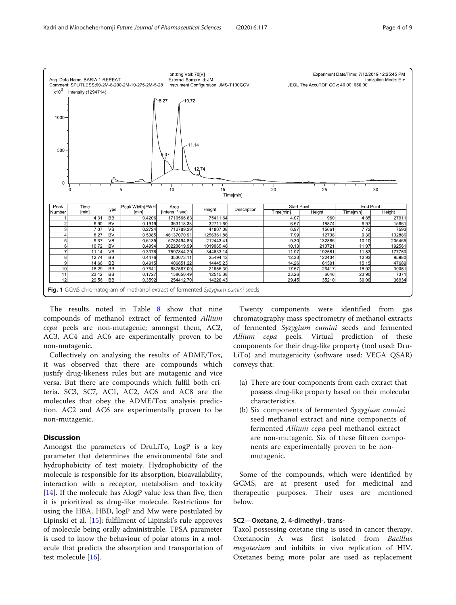<span id="page-3-0"></span>

The results noted in Table [8](#page-7-0) show that nine compounds of methanol extract of fermented Allium cepa peels are non-mutagenic; amongst them, AC2, AC3, AC4 and AC6 are experimentally proven to be non-mutagenic.

Collectively on analysing the results of ADME/Tox, it was observed that there are compounds which justify drug-likeness rules but are mutagenic and vice versa. But there are compounds which fulfil both criteria. SC3, SC7, AC1, AC2, AC6 and AC8 are the molecules that obey the ADME/Tox analysis prediction. AC2 and AC6 are experimentally proven to be non-mutagenic.

# **Discussion**

Amongst the parameters of DruLiTo, LogP is a key parameter that determines the environmental fate and hydrophobicity of test moiety. Hydrophobicity of the molecule is responsible for its absorption, bioavailability, interaction with a receptor, metabolism and toxicity [[14\]](#page-8-0). If the molecule has AlogP value less than five, then it is prioritized as drug-like molecule. Restrictions for using the HBA, HBD, logP and Mw were postulated by Lipinski et al. [[15](#page-8-0)]; fulfilment of Lipinski's rule approves of molecule being orally administrable. TPSA parameter is used to know the behaviour of polar atoms in a molecule that predicts the absorption and transportation of test molecule [\[16\]](#page-8-0).

Twenty components were identified from gas chromatography mass spectrometry of methanol extracts of fermented Syzygium cumini seeds and fermented Allium cepa peels. Virtual prediction of these components for their drug-like property (tool used: Dru-LiTo) and mutagenicity (software used: VEGA QSAR) conveys that:

- (a) There are four components from each extract that possess drug-like property based on their molecular characteristics.
- (b) Six components of fermented Syzygium cumini seed methanol extract and nine components of fermented Allium cepa peel methanol extract are non-mutagenic. Six of these fifteen components are experimentally proven to be nonmutagenic.

Some of the compounds, which were identified by GCMS, are at present used for medicinal and therapeutic purposes. Their uses are mentioned below.

# SC2—Oxetane, 2, 4-dimethyl-, trans-

Taxol possessing oxetane ring is used in cancer therapy. Oxetanocin A was first isolated from Bacillus megaterium and inhibits in vivo replication of HIV. Oxetanes being more polar are used as replacement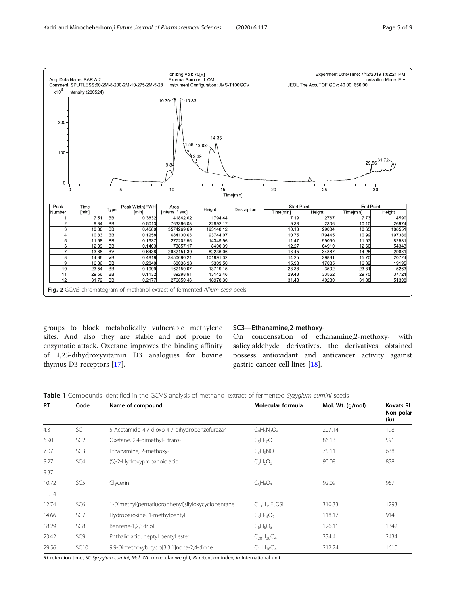$x10^3$ 

200

 $100$ 

 $\overline{0}$ 

 $Peak$ 

Number

<span id="page-4-0"></span>

 $10.30$  $B<sub>B</sub>$  $0.458$ 3574269.6 193148.12  $10.10$ 29004  $10.65$ 1083 BB  $0.125$ 684130.6 93744.0 10.7 179445 10 99 197386 11.58 **BB** 0 193 277202.5 14349.96  $11.4$ 99090 11.97 8253  $0.140$ 64910  $\frac{1}{12.60}$  $\frac{1}{5434}$  $12.39$  $\overline{BB}$ 73857.1 8400.39  $12.2$ 13.88 BV  $0.6431$ 2932151.3 82236.06  $13.45$ 34867  $14.25$ 2983 **s**  $14.36$  $V<sub>B</sub>$  $0.4819$ 3450690.2 101991.32  $14.2$ 29831 15.70 20724 16.06 **BB**  $0.2840$ 68036.98 5309.50  $15.93$ 17085 16.32 19195  $10$ 23.54 BB 0 190 162150.07 13719.15 23.38 3502 23.81 526  $\overline{1}$  $\overline{BB}$  $0.113$ 13142.46  $\frac{294}{294}$ 33562  $29.75$  $\frac{22}{37724}$  $29.56$ 89298.9 31.72 BB  $0.217$ 276650.46 18978.30  $31.43$ 40280 31.88 51308 Fig. 2 GCMS chromatogram of methanol extract of fermented Allium cepa peels

groups to block metabolically vulnerable methylene sites. And also they are stable and not prone to enzymatic attack. Oxetane improves the binding affinity of 1,25-dihydroxyvitamin D3 analogues for bovine thymus D3 receptors [[17\]](#page-8-0).

# SC3—Ethanamine,2-methoxy-

On condensation of ethanamine,2-methoxy- with salicylaldehyde derivatives, the derivatives obtained possess antioxidant and anticancer activity against gastric cancer cell lines [[18](#page-8-0)].

| <b>RT</b> | Code            | Name of compound                                  | Molecular formula    | Mol. Wt. (g/mol) | <b>Kovats RI</b><br>Non polar<br>(iu) |
|-----------|-----------------|---------------------------------------------------|----------------------|------------------|---------------------------------------|
| 4.31      | SC <sub>1</sub> | 5-Acetamido-4,7-dioxo-4,7-dihydrobenzofurazan     | $C_8H_5N_3O_4$       | 207.14           | 1981                                  |
| 6.90      | SC <sub>2</sub> | Oxetane, 2,4-dimethyl-, trans-                    | $C_5H_{10}O$         | 86.13            | 591                                   |
| 7.07      | SC <sub>3</sub> | Ethanamine, 2-methoxy-                            | $C_3H_9NO$           | 75.11            | 638                                   |
| 8.27      | SC4             | (S)-2-Hydroxypropanoic acid                       | $C_3H_6O_3$          | 90.08            | 838                                   |
| 9.37      |                 |                                                   |                      |                  |                                       |
| 10.72     | SC <sub>5</sub> | Glycerin                                          | $C_3H_8O_3$          | 92.09            | 967                                   |
| 11.14     |                 |                                                   |                      |                  |                                       |
| 12.74     | SC <sub>6</sub> | 1-Dimethyl(pentafluorophenyl)silyloxycyclopentane | $C_{13}H_{15}F_5OSi$ | 310.33           | 1293                                  |
| 14.66     | SC7             | Hydroperoxide, 1-methylpentyl                     | $C_6H_{14}O_2$       | 118.17           | 914                                   |
| 18.29     | SC <sub>8</sub> | Benzene-1,2,3-triol                               | $C_6H_6O_3$          | 126.11           | 1342                                  |
| 23.42     | SC9             | Phthalic acid, heptyl pentyl ester                | $C_{20}H_{30}O_4$    | 334.4            | 2434                                  |
| 29.56     | <b>SC10</b>     | 9,9-Dimethoxybicyclo[3.3.1]nona-2,4-dione         | $C_{11}H_{16}O_4$    | 212.24           | 1610                                  |

RT retention time, SC Syzygium cumini, Mol. Wt. molecular weight, RI retention index, iu International unit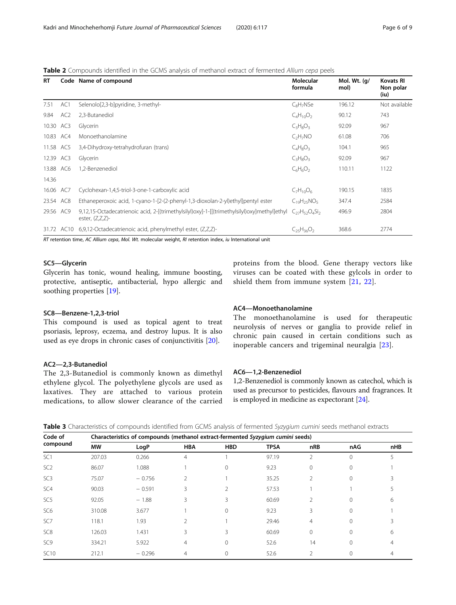<span id="page-5-0"></span>

|  |  |      |  |  |  | Table 2 Compounds identified in the GCMS analysis of methanol extract of fermented Allium cepa peels |  |  |
|--|--|------|--|--|--|------------------------------------------------------------------------------------------------------|--|--|
|  |  | __ _ |  |  |  |                                                                                                      |  |  |

| <b>RT</b> |                 | Code Name of compound                                                                                             | Molecular<br>formula             | Mol. Wt. (g/<br>mol) | <b>Kovats RI</b><br>Non polar<br>(iu) |
|-----------|-----------------|-------------------------------------------------------------------------------------------------------------------|----------------------------------|----------------------|---------------------------------------|
| 7.51      | AC1             | Selenolo[2,3-b]pyridine, 3-methyl-                                                                                | $C_8H_7NSe$                      | 196.12               | Not available                         |
| 9.84      | AC <sub>2</sub> | 2,3-Butanediol                                                                                                    | $C_4H_{10}O_2$                   | 90.12                | 743                                   |
| 10.30 AC3 |                 | Glycerin                                                                                                          | $C_3H_8O_3$                      | 92.09                | 967                                   |
| 10.83 AC4 |                 | Monoethanolamine                                                                                                  | C <sub>2</sub> H <sub>7</sub> NO | 61.08                | 706                                   |
| 11.58 AC5 |                 | 3,4-Dihydroxy-tetrahydrofuran (trans)                                                                             | $C_4H_8O_3$                      | 104.1                | 965                                   |
| 12.39 AC3 |                 | Glycerin                                                                                                          | $C_3H_8O_3$                      | 92.09                | 967                                   |
| 13.88 AC6 |                 | 1.2-Benzenediol                                                                                                   | $C_6H_6O_2$                      | 110.11               | 1122                                  |
| 14.36     |                 |                                                                                                                   |                                  |                      |                                       |
| 16.06 AC7 |                 | Cyclohexan-1,4,5-triol-3-one-1-carboxylic acid                                                                    | $C_7H_{10}O_6$                   | 190.15               | 1835                                  |
| 23.54 AC8 |                 | Ethaneperoxoic acid, 1-cyano-1-[2-(2-phenyl-1,3-dioxolan-2-yl)ethyl]pentyl ester                                  | $C_{19}H_{25}NO_5$               | 347.4                | 2584                                  |
| 29.56 AC9 |                 | 9,12,15-Octadecatrienoic acid, 2-[(trimethylsilyl)oxy]-1-[[(trimethylsilyl)oxy]methyl]ethyl<br>ester, $(Z,Z,Z)$ - | $C_{27}H_{52}O_4Si_2$            | 496.9                | 2804                                  |
|           | 31.72 AC10      | 6,9,12-Octadecatrienoic acid, phenylmethyl ester, (Z,Z,Z)-                                                        | $C_{25}H_{36}O_2$                | 368.6                | 2774                                  |

RT retention time, AC Allium cepa, Mol. Wt. molecular weight, RI retention index, iu International unit

# SC5—Glycerin

Glycerin has tonic, wound healing, immune boosting, protective, antiseptic, antibacterial, hypo allergic and soothing properties [\[19\]](#page-8-0).

# SC8—Benzene-1,2,3-triol

This compound is used as topical agent to treat psoriasis, leprosy, eczema, and destroy lupus. It is also used as eye drops in chronic cases of conjunctivitis [[20\]](#page-8-0).

# AC2—2,3-Butanediol

The 2,3-Butanediol is commonly known as dimethyl ethylene glycol. The polyethylene glycols are used as laxatives. They are attached to various protein medications, to allow slower clearance of the carried proteins from the blood. Gene therapy vectors like viruses can be coated with these gylcols in order to shield them from immune system [[21](#page-8-0), [22\]](#page-8-0).

# AC4—Monoethanolamine

The monoethanolamine is used for therapeutic neurolysis of nerves or ganglia to provide relief in chronic pain caused in certain conditions such as inoperable cancers and trigeminal neuralgia [[23](#page-8-0)].

# AC6—1,2-Benzenediol

1,2-Benzenediol is commonly known as catechol, which is used as precursor to pesticides, flavours and fragrances. It is employed in medicine as expectorant [\[24\]](#page-8-0).

Table 3 Characteristics of compounds identified from GCMS analysis of fermented Syzygium cumini seeds methanol extracts

| Code of         |           | Characteristics of compounds (methanol extract-fermented Syzygium cumini seeds) |                |                |             |                |              |     |  |  |  |  |  |  |
|-----------------|-----------|---------------------------------------------------------------------------------|----------------|----------------|-------------|----------------|--------------|-----|--|--|--|--|--|--|
| compound        | <b>MW</b> | LogP                                                                            | <b>HBA</b>     | <b>HBD</b>     | <b>TPSA</b> | nRB            | nAG          | nHB |  |  |  |  |  |  |
| SC <sub>1</sub> | 207.03    | 0.266                                                                           | 4              |                | 97.19       | 2              | $\Omega$     | 5   |  |  |  |  |  |  |
| SC <sub>2</sub> | 86.07     | 1.088                                                                           |                | $\Omega$       | 9.23        | $\mathbf{0}$   | $\mathbf{0}$ |     |  |  |  |  |  |  |
| SC <sub>3</sub> | 75.07     | $-0.756$                                                                        | $\mathcal{P}$  |                | 35.25       | 2              | $\circ$      |     |  |  |  |  |  |  |
| SC4             | 90.03     | $-0.591$                                                                        | 3              | $\mathfrak{D}$ | 57.53       |                |              |     |  |  |  |  |  |  |
| SC <sub>5</sub> | 92.05     | $-1.88$                                                                         | 3              | 3              | 60.69       | $\overline{2}$ | 0            | 6   |  |  |  |  |  |  |
| SC <sub>6</sub> | 310.08    | 3.677                                                                           |                | $\mathbf{0}$   | 9.23        | 3              | $\Omega$     |     |  |  |  |  |  |  |
| SC7             | 118.1     | 1.93                                                                            | $\mathfrak{D}$ |                | 29.46       | 4              | $\Omega$     | ζ   |  |  |  |  |  |  |
| SC <sub>8</sub> | 126.03    | 1.431                                                                           | 3              | 3              | 60.69       | $\mathbf{0}$   | $\mathbf{0}$ | 6   |  |  |  |  |  |  |
| SC <sub>9</sub> | 334.21    | 5.922                                                                           | 4              | $\Omega$       | 52.6        | 14             | 0            | 4   |  |  |  |  |  |  |
| <b>SC10</b>     | 212.1     | $-0.296$                                                                        | 4              | $\Omega$       | 52.6        | $\mathfrak{D}$ | $\Omega$     | 4   |  |  |  |  |  |  |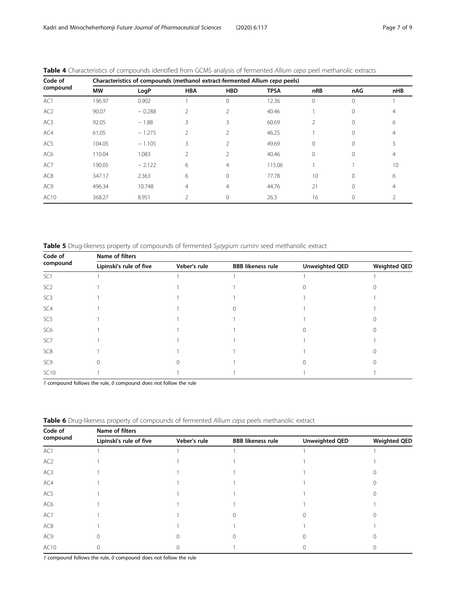| Code of         |           | Characteristics of compounds (methanol extract-fermented Allium cepa peels) |                |                |             |                 |          |     |  |  |  |  |  |  |
|-----------------|-----------|-----------------------------------------------------------------------------|----------------|----------------|-------------|-----------------|----------|-----|--|--|--|--|--|--|
| compound        | <b>MW</b> | LogP                                                                        | <b>HBA</b>     | <b>HBD</b>     | <b>TPSA</b> | nRB             | nAG      | nHB |  |  |  |  |  |  |
| AC1             | 196.97    | 0.902                                                                       |                | $\Omega$       | 12.36       | $\Omega$        | $\Omega$ |     |  |  |  |  |  |  |
| AC <sub>2</sub> | 90.07     | $-0.288$                                                                    | 2              | 2              | 40.46       |                 | $\Omega$ | 4   |  |  |  |  |  |  |
| AC <sub>3</sub> | 92.05     | $-1.88$                                                                     | 3              | 3              | 60.69       | 2               | $\Omega$ | 6   |  |  |  |  |  |  |
| AC4             | 61.05     | $-1.275$                                                                    | $\overline{2}$ | $\mathfrak{D}$ | 46.25       |                 | $\Omega$ | 4   |  |  |  |  |  |  |
| AC5             | 104.05    | $-1.105$                                                                    | 3              | $\mathfrak{D}$ | 49.69       | $\Omega$        | $\Omega$ |     |  |  |  |  |  |  |
| AC6             | 110.04    | 1.083                                                                       | 2              | 2              | 40.46       | $\Omega$        | $\Omega$ | 4   |  |  |  |  |  |  |
| AC7             | 190.05    | $-2.122$                                                                    | 6              | 4              | 115.06      |                 |          | 10  |  |  |  |  |  |  |
| AC <sub>8</sub> | 347.17    | 2.363                                                                       | 6              | $\Omega$       | 77.78       | 10 <sup>°</sup> | $\Omega$ | 6   |  |  |  |  |  |  |
| AC <sub>9</sub> | 496.34    | 10.748                                                                      | $\overline{4}$ | 4              | 44.76       | 21              | $\Omega$ | 4   |  |  |  |  |  |  |
| AC10            | 368.27    | 8.951                                                                       | 2              | 0              | 26.3        | 16              | $\Omega$ | 2   |  |  |  |  |  |  |
|                 |           |                                                                             |                |                |             |                 |          |     |  |  |  |  |  |  |

<span id="page-6-0"></span>

|  | Table 4 Characteristics of compounds identified from GCMS analysis of fermented Allium cepa peel methanolic extracts |  |  |  |  |  |  |  |
|--|----------------------------------------------------------------------------------------------------------------------|--|--|--|--|--|--|--|
|  | لا الله الله عليه المحامل المعامل المعامل المعامل المعامل المعامل المعامل المعامل المعامل المعامل ال                 |  |  |  |  |  |  |  |

Table 5 Drug-likeness property of compounds of fermented Syzygium cumini seed methanolic extract

| Code of         | Name of filters         |              |                          |                       |                     |  |  |  |  |  |  |  |  |
|-----------------|-------------------------|--------------|--------------------------|-----------------------|---------------------|--|--|--|--|--|--|--|--|
| compound        | Lipinski's rule of five | Veber's rule | <b>BBB likeness rule</b> | <b>Unweighted QED</b> | <b>Weighted QED</b> |  |  |  |  |  |  |  |  |
| SC <sub>1</sub> |                         |              |                          |                       |                     |  |  |  |  |  |  |  |  |
| SC <sub>2</sub> |                         |              |                          |                       |                     |  |  |  |  |  |  |  |  |
| SC <sub>3</sub> |                         |              |                          |                       |                     |  |  |  |  |  |  |  |  |
| SC4             |                         |              |                          |                       |                     |  |  |  |  |  |  |  |  |
| SC <sub>5</sub> |                         |              |                          |                       |                     |  |  |  |  |  |  |  |  |
| SC <sub>6</sub> |                         |              |                          |                       |                     |  |  |  |  |  |  |  |  |
| SC7             |                         |              |                          |                       |                     |  |  |  |  |  |  |  |  |
| SC <sub>8</sub> |                         |              |                          |                       |                     |  |  |  |  |  |  |  |  |
| SC <sub>9</sub> |                         |              |                          |                       |                     |  |  |  |  |  |  |  |  |
| <b>SC10</b>     |                         |              |                          |                       |                     |  |  |  |  |  |  |  |  |

1 compound follows the rule, 0 compound does not follow the rule

| Code of<br>compound | Name of filters         |              |                          |                       |                     |  |  |  |  |
|---------------------|-------------------------|--------------|--------------------------|-----------------------|---------------------|--|--|--|--|
|                     | Lipinski's rule of five | Veber's rule | <b>BBB</b> likeness rule | <b>Unweighted QED</b> | <b>Weighted QED</b> |  |  |  |  |
| AC1                 |                         |              |                          |                       |                     |  |  |  |  |
| AC <sub>2</sub>     |                         |              |                          |                       |                     |  |  |  |  |
| AC3                 |                         |              |                          |                       |                     |  |  |  |  |
| AC4                 |                         |              |                          |                       |                     |  |  |  |  |
| AC5                 |                         |              |                          |                       |                     |  |  |  |  |
| AC6                 |                         |              |                          |                       |                     |  |  |  |  |
| AC7                 |                         |              |                          |                       |                     |  |  |  |  |
| AC8                 |                         |              |                          |                       |                     |  |  |  |  |
| AC9                 |                         |              |                          |                       |                     |  |  |  |  |
| AC10                |                         |              |                          |                       |                     |  |  |  |  |

Table 6 Drug-likeness property of compounds of fermented Allium cepa peels methanolic extract

 $1$  compound follows the rule,  $0$  compound does not follow the rule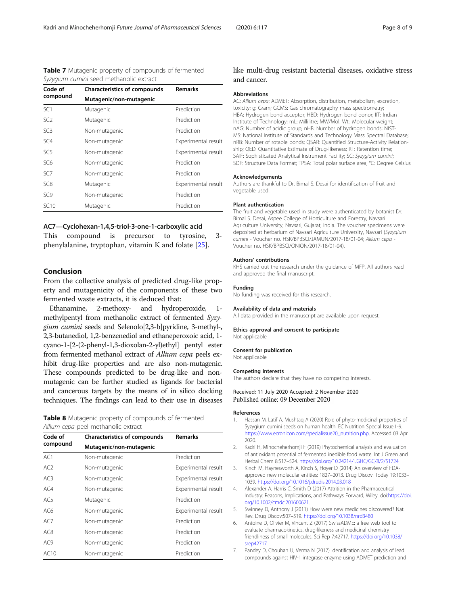<span id="page-7-0"></span>

| Table 7 Mutagenic property of compounds of fermented |  |
|------------------------------------------------------|--|
| Syzvajum cumini seed methanolic extract              |  |

| Syzygium cumini seed methanolic extract |                                     |                     |  |  |  |  |  |
|-----------------------------------------|-------------------------------------|---------------------|--|--|--|--|--|
| Code of                                 | <b>Characteristics of compounds</b> | <b>Remarks</b>      |  |  |  |  |  |
| compound                                | Mutagenic/non-mutagenic             |                     |  |  |  |  |  |
| SC <sub>1</sub>                         | Mutagenic                           | Prediction          |  |  |  |  |  |
| SC <sub>2</sub>                         | Mutagenic                           | Prediction          |  |  |  |  |  |
| SC <sub>3</sub>                         | Non-mutagenic                       | Prediction          |  |  |  |  |  |
| SC4                                     | Non-mutagenic                       | Experimental result |  |  |  |  |  |
| SC <sub>5</sub>                         | Non-mutagenic                       | Experimental result |  |  |  |  |  |
| SC6                                     | Non-mutagenic                       | Prediction          |  |  |  |  |  |
| SC <sub>7</sub>                         | Non-mutagenic                       | Prediction          |  |  |  |  |  |
| SC <sub>8</sub>                         | Mutagenic                           | Experimental result |  |  |  |  |  |
| SC <sub>9</sub>                         | Non-mutagenic                       | Prediction          |  |  |  |  |  |
| SC10                                    | Mutagenic                           | Prediction          |  |  |  |  |  |

#### AC7—Cyclohexan-1,4,5-triol-3-one-1-carboxylic acid

This compound is precursor to tyrosine, 3 phenylalanine, tryptophan, vitamin K and folate [\[25\]](#page-8-0).

# Conclusion

From the collective analysis of predicted drug-like property and mutagenicity of the components of these two fermented waste extracts, it is deduced that:

Ethanamine, 2-methoxy- and hydroperoxide, methylpentyl from methanolic extract of fermented Syzygium cumini seeds and Selenolo[2,3-b]pyridine, 3-methyl-, 2,3-butanediol, 1,2-benzenediol and ethaneperoxoic acid, 1 cyano-1-[2-(2-phenyl-1,3-dioxolan-2-yl)ethyl] pentyl ester from fermented methanol extract of Allium cepa peels exhibit drug-like properties and are also non-mutagenic. These compounds predicted to be drug-like and nonmutagenic can be further studied as ligands for bacterial and cancerous targets by the means of in silico docking techniques. The findings can lead to their use in diseases

|  |  | - - - - - - - |                                     | the contract of the contract of the contract of the contract of the contract of the contract of the contract of |  |  |
|--|--|---------------|-------------------------------------|-----------------------------------------------------------------------------------------------------------------|--|--|
|  |  |               | Allium cepa peel methanolic extract |                                                                                                                 |  |  |
|  |  |               |                                     | Table 8 Mutagenic property of compounds of fermented                                                            |  |  |

| Code of         | <b>Characteristics of compounds</b> | <b>Remarks</b>      |  |  |  |  |
|-----------------|-------------------------------------|---------------------|--|--|--|--|
| compound        | Mutagenic/non-mutagenic             |                     |  |  |  |  |
| AC1             | Non-mutagenic                       | Prediction          |  |  |  |  |
| AC2             | Non-mutagenic                       | Experimental result |  |  |  |  |
| AC3             | Non-mutagenic                       | Experimental result |  |  |  |  |
| AC4             | Non-mutagenic                       | Experimental result |  |  |  |  |
| AC5             | Mutagenic                           | Prediction          |  |  |  |  |
| AC6             | Non-mutagenic                       | Experimental result |  |  |  |  |
| AC7             | Non-mutagenic                       | Prediction          |  |  |  |  |
| AC <sub>8</sub> | Non-mutagenic                       | Prediction          |  |  |  |  |
| AC <sub>9</sub> | Non-mutagenic                       | Prediction          |  |  |  |  |
| AC10            | Non-mutagenic                       | Prediction          |  |  |  |  |

# like multi-drug resistant bacterial diseases, oxidative stress and cancer.

#### Abbreviations

AC: Allium cepa; ADMET: Absorption, distribution, metabolism, excretion, toxicity; g: Gram; GCMS: Gas chromatography mass spectrometry; HBA: Hydrogen bond acceptor; HBD: Hydrogen bond donor; IIT: Indian Institute of Technology; mL: Millilitre; MW/Mol. Wt.: Molecular weight; nAG: Number of acidic group; nHB: Number of hydrogen bonds; NIST-MS: National Institute of Standards and Technology Mass Spectral Database; nRB: Number of rotable bonds; QSAR: Quantified Structure-Activity Relationship; QED: Quantitative Estimate of Drug-likeness; RT: Retention time; SAIF: Sophisticated Analytical Instrument Facility; SC: Syzygium cumini; SDF: Structure Data Format; TPSA: Total polar surface area; °C: Degree Celsius

#### Acknowledgements

Authors are thankful to Dr. Bimal S. Desai for identification of fruit and vegetable used.

#### Plant authentication

The fruit and vegetable used in study were authenticated by botanist Dr. Bimal S. Desai, Aspee College of Horticulture and Forestry, Navsari Agriculture University, Navsari, Gujarat, India. The voucher specimens were deposited at herbarium of Navsari Agriculture University, Navsari (Syzygium cumini - Voucher no. HSK/BPBSCI/JAMUN/2017-18/01-04; Allium cepa - Voucher no. HSK/BPBSCI/ONION/2017-18/01-04).

#### Authors' contributions

KHS carried out the research under the guidance of MFP. All authors read and approved the final manuscript.

#### Funding

No funding was received for this research.

#### Availability of data and materials

All data provided in the manuscript are available upon request.

#### Ethics approval and consent to participate Not applicable

Consent for publication

Not applicable

#### Competing interests

The authors declare that they have no competing interests.

#### Received: 11 July 2020 Accepted: 2 November 2020 Published online: 09 December 2020

#### References

- 1. Hassan M, Latif A, Mushtaq A (2020) Role of phyto-medicinal properties of Syzygium cumini seeds on human health. EC Nutrition Special Issue:1-9. [https://www.ecronicon.com/specialissue20\\_nutrition.php.](https://www.ecronicon.com/specialissue20_nutrition.php) Accessed 03 Apr 2020.
- 2. Kadri H, Minocheherhomji F (2019) Phytochemical analysis and evaluation of antioxidant potential of fermented inedible food waste. Int J Green and Herbal Chem 8:517–524. <https://doi.org/10.24214/IJGHC/GC/8/2/51724>
- Kinch M, Haynesworth A, Kinch S, Hoyer D (2014) An overview of FDAapproved new molecular entities: 1827–2013. Drug Discov. Today 19:1033– 1039. <https://doi.org/10.1016/j.drudis.2014.03.018>
- 4. Alexander A, Harris C, Smith D (2017) Attrition in the Pharmaceutical Industry: Reasons, Implications, and Pathways Forward, Wiley. doi:[https://doi.](https://doi.org/10.1002/cmdc.201600621) [org/10.1002/cmdc.201600621.](https://doi.org/10.1002/cmdc.201600621)
- 5. Swinney D, Anthony J (2011) How were new medicines discovered? Nat. Rev. Drug Discov:507–519. <https://doi.org/10.1038/nrd3480>
- 6. Antoine D, Olivier M, Vincent Z (2017) SwissADME: a free web tool to evaluate pharmacokinetics, drug-likeness and medicinal chemistry friendliness of small molecules. Sci Rep 7:42717. [https://doi.org/10.1038/](https://doi.org/10.1038/srep42717) [srep42717](https://doi.org/10.1038/srep42717)
- 7. Pandey D, Chouhan U, Verma N (2017) Identification and analysis of lead compounds against HIV-1 integrase enzyme using ADMET prediction and